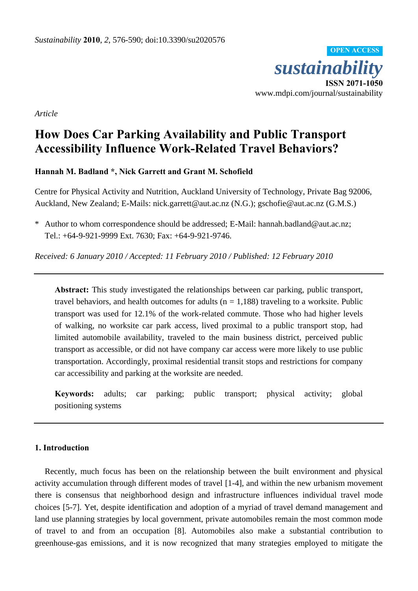

*Article*

# **How Does Car Parking Availability and Public Transport Accessibility Influence Work-Related Travel Behaviors?**

**Hannah M. Badland \*, Nick Garrett and Grant M. Schofield** 

Centre for Physical Activity and Nutrition, Auckland University of Technology, Private Bag 92006, Auckland, New Zealand; E-Mails: nick.garrett@aut.ac.nz (N.G.); gschofie@aut.ac.nz (G.M.S.)

\* Author to whom correspondence should be addressed; E-Mail: hannah.badland@aut.ac.nz; Tel.: +64-9-921-9999 Ext. 7630; Fax: +64-9-921-9746.

*Received: 6 January 2010 / Accepted: 11 February 2010 / Published: 12 February 2010*

**Abstract:** This study investigated the relationships between car parking, public transport, travel behaviors, and health outcomes for adults ( $n = 1,188$ ) traveling to a worksite. Public transport was used for 12.1% of the work-related commute. Those who had higher levels of walking, no worksite car park access, lived proximal to a public transport stop, had limited automobile availability, traveled to the main business district, perceived public transport as accessible, or did not have company car access were more likely to use public transportation. Accordingly, proximal residential transit stops and restrictions for company car accessibility and parking at the worksite are needed.

**Keywords:** adults; car parking; public transport; physical activity; global positioning systems

# **1. Introduction**

Recently, much focus has been on the relationship between the built environment and physical activity accumulation through different modes of travel [1-4], and within the new urbanism movement there is consensus that neighborhood design and infrastructure influences individual travel mode choices [5-7]. Yet, despite identification and adoption of a myriad of travel demand management and land use planning strategies by local government, private automobiles remain the most common mode of travel to and from an occupation [8]. Automobiles also make a substantial contribution to greenhouse-gas emissions, and it is now recognized that many strategies employed to mitigate the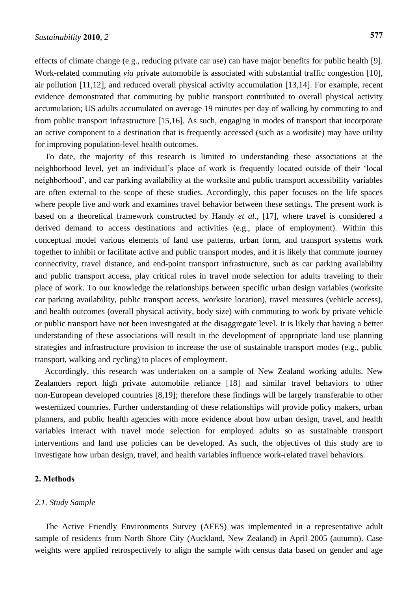effects of climate change (e.g., reducing private car use) can have major benefits for public health [9]. Work-related commuting *via* private automobile is associated with substantial traffic congestion [10], air pollution [11,12], and reduced overall physical activity accumulation [13,14]. For example, recent evidence demonstrated that commuting by public transport contributed to overall physical activity accumulation; US adults accumulated on average 19 minutes per day of walking by commuting to and from public transport infrastructure [15,16]. As such, engaging in modes of transport that incorporate an active component to a destination that is frequently accessed (such as a worksite) may have utility for improving population-level health outcomes.

To date, the majority of this research is limited to understanding these associations at the neighborhood level, yet an individual's place of work is frequently located outside of their 'local neighborhood', and car parking availability at the worksite and public transport accessibility variables are often external to the scope of these studies. Accordingly, this paper focuses on the life spaces where people live and work and examines travel behavior between these settings. The present work is based on a theoretical framework constructed by Handy *et al.*, [17], where travel is considered a derived demand to access destinations and activities (e.g., place of employment). Within this conceptual model various elements of land use patterns, urban form, and transport systems work together to inhibit or facilitate active and public transport modes, and it is likely that commute journey connectivity, travel distance, and end-point transport infrastructure, such as car parking availability and public transport access, play critical roles in travel mode selection for adults traveling to their place of work. To our knowledge the relationships between specific urban design variables (worksite car parking availability, public transport access, worksite location), travel measures (vehicle access), and health outcomes (overall physical activity, body size) with commuting to work by private vehicle or public transport have not been investigated at the disaggregate level. It is likely that having a better understanding of these associations will result in the development of appropriate land use planning strategies and infrastructure provision to increase the use of sustainable transport modes (e.g., public transport, walking and cycling) to places of employment.

Accordingly, this research was undertaken on a sample of New Zealand working adults. New Zealanders report high private automobile reliance [18] and similar travel behaviors to other non-European developed countries [8,19]; therefore these findings will be largely transferable to other westernized countries. Further understanding of these relationships will provide policy makers, urban planners, and public health agencies with more evidence about how urban design, travel, and health variables interact with travel mode selection for employed adults so as sustainable transport interventions and land use policies can be developed. As such, the objectives of this study are to investigate how urban design, travel, and health variables influence work-related travel behaviors.

## **2. Methods**

# *2.1. Study Sample*

The Active Friendly Environments Survey (AFES) was implemented in a representative adult sample of residents from North Shore City (Auckland, New Zealand) in April 2005 (autumn). Case weights were applied retrospectively to align the sample with census data based on gender and age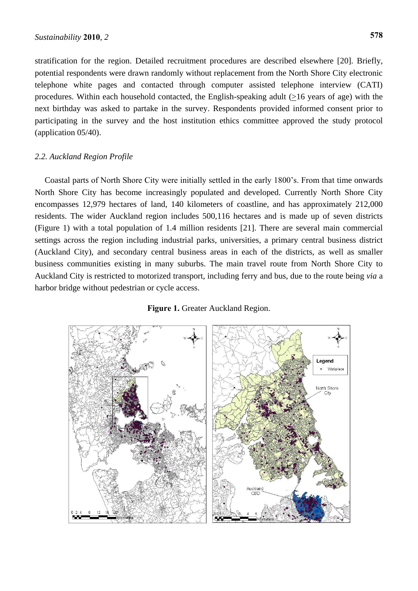stratification for the region. Detailed recruitment procedures are described elsewhere [20]. Briefly, potential respondents were drawn randomly without replacement from the North Shore City electronic telephone white pages and contacted through computer assisted telephone interview (CATI) procedures. Within each household contacted, the English-speaking adult (>16 years of age) with the next birthday was asked to partake in the survey. Respondents provided informed consent prior to participating in the survey and the host institution ethics committee approved the study protocol (application 05/40).

# *2.2. Auckland Region Profile*

Coastal parts of North Shore City were initially settled in the early 1800's. From that time onwards North Shore City has become increasingly populated and developed. Currently North Shore City encompasses 12,979 hectares of land, 140 kilometers of coastline, and has approximately 212,000 residents. The wider Auckland region includes 500,116 hectares and is made up of seven districts (Figure 1) with a total population of 1.4 million residents [21]. There are several main commercial settings across the region including industrial parks, universities, a primary central business district (Auckland City), and secondary central business areas in each of the districts, as well as smaller business communities existing in many suburbs. The main travel route from North Shore City to Auckland City is restricted to motorized transport, including ferry and bus, due to the route being *via* a harbor bridge without pedestrian or cycle access.

### **Figure 1.** Greater Auckland Region.

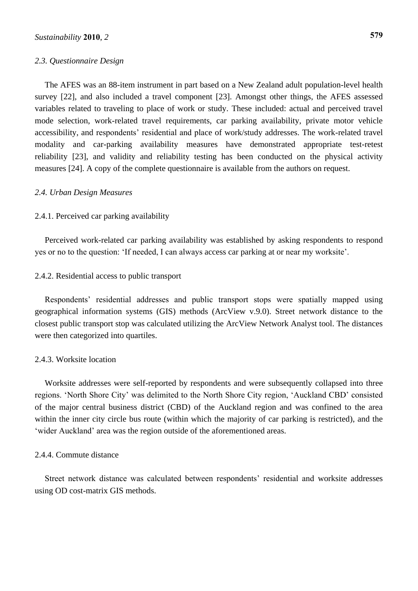#### *2.3. Questionnaire Design*

The AFES was an 88-item instrument in part based on a New Zealand adult population-level health survey [22], and also included a travel component [23]. Amongst other things, the AFES assessed variables related to traveling to place of work or study. These included: actual and perceived travel mode selection, work-related travel requirements, car parking availability, private motor vehicle accessibility, and respondents' residential and place of work/study addresses. The work-related travel modality and car-parking availability measures have demonstrated appropriate test-retest reliability [23], and validity and reliability testing has been conducted on the physical activity measures [24]. A copy of the complete questionnaire is available from the authors on request.

#### *2.4. Urban Design Measures*

#### 2.4.1. Perceived car parking availability

Perceived work-related car parking availability was established by asking respondents to respond yes or no to the question: 'If needed, I can always access car parking at or near my worksite'.

#### 2.4.2. Residential access to public transport

Respondents' residential addresses and public transport stops were spatially mapped using geographical information systems (GIS) methods (ArcView v.9.0). Street network distance to the closest public transport stop was calculated utilizing the ArcView Network Analyst tool. The distances were then categorized into quartiles.

## 2.4.3. Worksite location

Worksite addresses were self-reported by respondents and were subsequently collapsed into three regions. 'North Shore City' was delimited to the North Shore City region, 'Auckland CBD' consisted of the major central business district (CBD) of the Auckland region and was confined to the area within the inner city circle bus route (within which the majority of car parking is restricted), and the 'wider Auckland' area was the region outside of the aforementioned areas.

#### 2.4.4. Commute distance

Street network distance was calculated between respondents' residential and worksite addresses using OD cost-matrix GIS methods.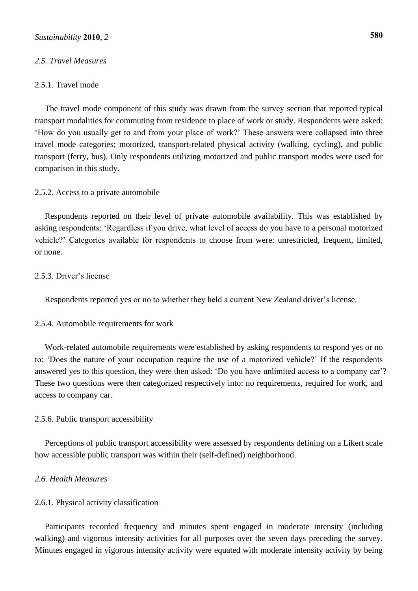## *2.5. Travel Measures*

## 2.5.1. Travel mode

The travel mode component of this study was drawn from the survey section that reported typical transport modalities for commuting from residence to place of work or study. Respondents were asked: 'How do you usually get to and from your place of work?' These answers were collapsed into three travel mode categories; motorized, transport-related physical activity (walking, cycling), and public transport (ferry, bus). Only respondents utilizing motorized and public transport modes were used for comparison in this study.

## 2.5.2. Access to a private automobile

Respondents reported on their level of private automobile availability. This was established by asking respondents: 'Regardless if you drive, what level of access do you have to a personal motorized vehicle?' Categories available for respondents to choose from were: unrestricted, frequent, limited, or none.

# 2.5.3. Driver's license

Respondents reported yes or no to whether they held a current New Zealand driver's license.

#### 2.5.4. Automobile requirements for work

Work-related automobile requirements were established by asking respondents to respond yes or no to: 'Does the nature of your occupation require the use of a motorized vehicle?' If the respondents answered yes to this question, they were then asked: 'Do you have unlimited access to a company car'? These two questions were then categorized respectively into: no requirements, required for work, and access to company car.

#### 2.5.6. Public transport accessibility

Perceptions of public transport accessibility were assessed by respondents defining on a Likert scale how accessible public transport was within their (self-defined) neighborhood.

#### *2.6. Health Measures*

# 2.6.1. Physical activity classification

Participants recorded frequency and minutes spent engaged in moderate intensity (including walking) and vigorous intensity activities for all purposes over the seven days preceding the survey. Minutes engaged in vigorous intensity activity were equated with moderate intensity activity by being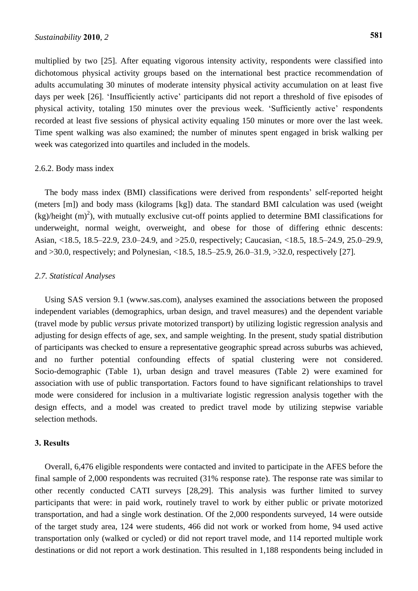multiplied by two [25]. After equating vigorous intensity activity, respondents were classified into dichotomous physical activity groups based on the international best practice recommendation of adults accumulating 30 minutes of moderate intensity physical activity accumulation on at least five days per week [26]. 'Insufficiently active' participants did not report a threshold of five episodes of physical activity, totaling 150 minutes over the previous week. 'Sufficiently active' respondents recorded at least five sessions of physical activity equaling 150 minutes or more over the last week. Time spent walking was also examined; the number of minutes spent engaged in brisk walking per week was categorized into quartiles and included in the models.

## 2.6.2. Body mass index

The body mass index (BMI) classifications were derived from respondents' self-reported height (meters [m]) and body mass (kilograms [kg]) data. The standard BMI calculation was used (weight  $(kg)/$ height  $(m)^2$ ), with mutually exclusive cut-off points applied to determine BMI classifications for underweight, normal weight, overweight, and obese for those of differing ethnic descents: Asian, <18.5, 18.5–22.9, 23.0–24.9, and >25.0, respectively; Caucasian, <18.5, 18.5–24.9, 25.0–29.9, and >30.0, respectively; and Polynesian, <18.5, 18.5–25.9, 26.0–31.9, >32.0, respectively [27].

# *2.7. Statistical Analyses*

Using SAS version 9.1 (www.sas.com), analyses examined the associations between the proposed independent variables (demographics, urban design, and travel measures) and the dependent variable (travel mode by public *versus* private motorized transport) by utilizing logistic regression analysis and adjusting for design effects of age, sex, and sample weighting. In the present, study spatial distribution of participants was checked to ensure a representative geographic spread across suburbs was achieved, and no further potential confounding effects of spatial clustering were not considered. Socio-demographic (Table 1), urban design and travel measures (Table 2) were examined for association with use of public transportation. Factors found to have significant relationships to travel mode were considered for inclusion in a multivariate logistic regression analysis together with the design effects, and a model was created to predict travel mode by utilizing stepwise variable selection methods.

# **3. Results**

Overall, 6,476 eligible respondents were contacted and invited to participate in the AFES before the final sample of 2,000 respondents was recruited (31% response rate). The response rate was similar to other recently conducted CATI surveys [28,29]. This analysis was further limited to survey participants that were: in paid work, routinely travel to work by either public or private motorized transportation, and had a single work destination. Of the 2,000 respondents surveyed, 14 were outside of the target study area, 124 were students, 466 did not work or worked from home, 94 used active transportation only (walked or cycled) or did not report travel mode, and 114 reported multiple work destinations or did not report a work destination. This resulted in 1,188 respondents being included in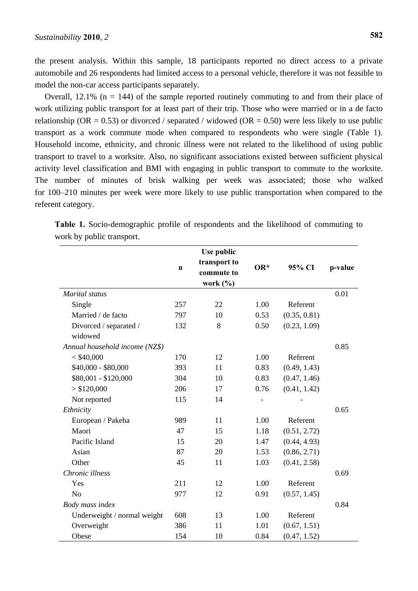the present analysis. Within this sample, 18 participants reported no direct access to a private automobile and 26 respondents had limited access to a personal vehicle, therefore it was not feasible to model the non-car access participants separately.

Overall,  $12.1\%$  (n = 144) of the sample reported routinely commuting to and from their place of work utilizing public transport for at least part of their trip. Those who were married or in a de facto relationship ( $OR = 0.53$ ) or divorced / separated / widowed ( $OR = 0.50$ ) were less likely to use public transport as a work commute mode when compared to respondents who were single (Table 1). Household income, ethnicity, and chronic illness were not related to the likelihood of using public transport to travel to a worksite. Also, no significant associations existed between sufficient physical activity level classification and BMI with engaging in public transport to commute to the worksite. The number of minutes of brisk walking per week was associated; those who walked for 100–210 minutes per week were more likely to use public transportation when compared to the referent category.

|                                |             | Use public                                |       |              |         |
|--------------------------------|-------------|-------------------------------------------|-------|--------------|---------|
|                                | $\mathbf n$ | transport to<br>commute to<br>work $(\%)$ | $OR*$ | 95% CI       | p-value |
| Marital status                 |             |                                           |       |              | 0.01    |
| Single                         | 257         | 22                                        | 1.00  | Referent     |         |
| Married / de facto             | 797         | 10                                        | 0.53  | (0.35, 0.81) |         |
| Divorced / separated /         | 132         | 8                                         | 0.50  | (0.23, 1.09) |         |
| widowed                        |             |                                           |       |              |         |
| Annual household income (NZ\$) |             |                                           |       |              | 0.85    |
| $<$ \$40,000                   | 170         | 12                                        | 1.00  | Referent     |         |
| \$40,000 - \$80,000            | 393         | 11                                        | 0.83  | (0.49, 1.43) |         |
| \$80,001 - \$120,000           | 304         | 10                                        | 0.83  | (0.47, 1.46) |         |
| > \$120,000                    | 206         | 17                                        | 0.76  | (0.41, 1.42) |         |
| Not reported                   | 115         | 14                                        |       |              |         |
| Ethnicity                      |             |                                           |       |              | 0.65    |
| European / Pakeha              | 989         | 11                                        | 1.00  | Referent     |         |
| Maori                          | 47          | 15                                        | 1.18  | (0.51, 2.72) |         |
| Pacific Island                 | 15          | 20                                        | 1.47  | (0.44, 4.93) |         |
| Asian                          | 87          | 20                                        | 1.53  | (0.86, 2.71) |         |
| Other                          | 45          | 11                                        | 1.03  | (0.41, 2.58) |         |
| Chronic illness                |             |                                           |       |              | 0.69    |
| Yes                            | 211         | 12                                        | 1.00  | Referent     |         |
| N <sub>o</sub>                 | 977         | 12                                        | 0.91  | (0.57, 1.45) |         |
| Body mass index                |             |                                           |       |              | 0.84    |
| Underweight / normal weight    | 608         | 13                                        | 1.00  | Referent     |         |
| Overweight                     | 386         | 11                                        | 1.01  | (0.67, 1.51) |         |
| Obese                          | 154         | 10                                        | 0.84  | (0.47, 1.52) |         |

**Table 1.** Socio-demographic profile of respondents and the likelihood of commuting to work by public transport.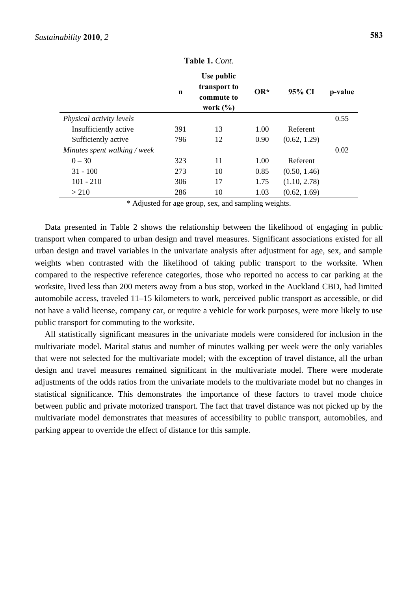| 1 491 - 11 - 1988            |     |                                                          |       |              |         |  |  |  |
|------------------------------|-----|----------------------------------------------------------|-------|--------------|---------|--|--|--|
|                              | n   | Use public<br>transport to<br>commute to<br>work $(\% )$ | $OR*$ | 95% CI       | p-value |  |  |  |
| Physical activity levels     |     |                                                          |       |              | 0.55    |  |  |  |
| Insufficiently active        | 391 | 13                                                       | 1.00  | Referent     |         |  |  |  |
| Sufficiently active          | 796 | 12                                                       | 0.90  | (0.62, 1.29) |         |  |  |  |
| Minutes spent walking / week |     |                                                          |       |              | 0.02    |  |  |  |
| $0 - 30$                     | 323 | 11                                                       | 1.00  | Referent     |         |  |  |  |
| $31 - 100$                   | 273 | 10                                                       | 0.85  | (0.50, 1.46) |         |  |  |  |
| $101 - 210$                  | 306 | 17                                                       | 1.75  | (1.10, 2.78) |         |  |  |  |
| > 210                        | 286 | 10                                                       | 1.03  | (0.62, 1.69) |         |  |  |  |

**Table 1.** *Cont.*

\* Adjusted for age group, sex, and sampling weights.

Data presented in Table 2 shows the relationship between the likelihood of engaging in public transport when compared to urban design and travel measures. Significant associations existed for all urban design and travel variables in the univariate analysis after adjustment for age, sex, and sample weights when contrasted with the likelihood of taking public transport to the worksite. When compared to the respective reference categories, those who reported no access to car parking at the worksite, lived less than 200 meters away from a bus stop, worked in the Auckland CBD, had limited automobile access, traveled 11–15 kilometers to work, perceived public transport as accessible, or did not have a valid license, company car, or require a vehicle for work purposes, were more likely to use public transport for commuting to the worksite.

All statistically significant measures in the univariate models were considered for inclusion in the multivariate model. Marital status and number of minutes walking per week were the only variables that were not selected for the multivariate model; with the exception of travel distance, all the urban design and travel measures remained significant in the multivariate model. There were moderate adjustments of the odds ratios from the univariate models to the multivariate model but no changes in statistical significance. This demonstrates the importance of these factors to travel mode choice between public and private motorized transport. The fact that travel distance was not picked up by the multivariate model demonstrates that measures of accessibility to public transport, automobiles, and parking appear to override the effect of distance for this sample.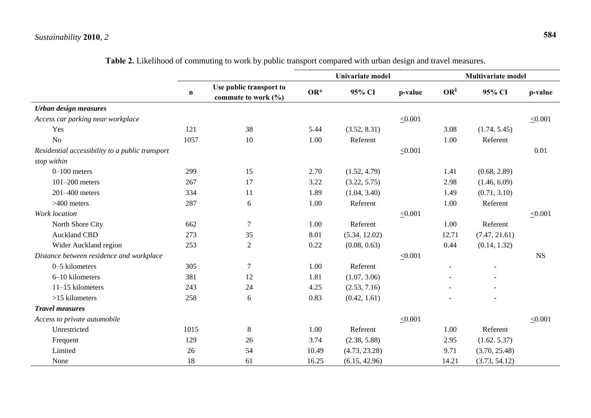# *Sustainability* **2010**, *2* **584**

|                                                 | $\mathbf n$ |                                                |       | Univariate model |              |           | <b>Multivariate model</b> |              |  |
|-------------------------------------------------|-------------|------------------------------------------------|-------|------------------|--------------|-----------|---------------------------|--------------|--|
|                                                 |             | Use public transport to<br>commute to work (%) | $OR*$ | 95% CI           | p-value      | $OR^{\S}$ | 95% CI                    | p-value      |  |
| Urban design measures                           |             |                                                |       |                  |              |           |                           |              |  |
| Access car parking near workplace               |             |                                                |       |                  | $\leq 0.001$ |           |                           | $\leq 0.001$ |  |
| Yes                                             | 121         | 38                                             | 5.44  | (3.52, 8.31)     |              | 3.08      | (1.74, 5.45)              |              |  |
| N <sub>o</sub>                                  | 1057        | 10                                             | 1.00  | Referent         |              | 1.00      | Referent                  |              |  |
| Residential accessibility to a public transport |             |                                                |       |                  | $\leq 0.001$ |           |                           | 0.01         |  |
| stop within                                     |             |                                                |       |                  |              |           |                           |              |  |
| $0-100$ meters                                  | 299         | 15                                             | 2.70  | (1.52, 4.79)     |              | 1.41      | (0.68, 2.89)              |              |  |
| $101-200$ meters                                | 267         | 17                                             | 3.22  | (3.22, 5.75)     |              | 2.98      | (1.46, 6.09)              |              |  |
| $201-400$ meters                                | 334         | 11                                             | 1.89  | (1.04, 3.40)     |              | 1.49      | (0.71, 3.10)              |              |  |
| $>400$ meters                                   | 287         | 6                                              | 1.00  | Referent         |              | 1.00      | Referent                  |              |  |
| Work location                                   |             |                                                |       |                  | $\leq 0.001$ |           |                           | $\leq 0.001$ |  |
| North Shore City                                | 662         | 7                                              | 1.00  | Referent         |              | 1.00      | Referent                  |              |  |
| <b>Auckland CBD</b>                             | 273         | 35                                             | 8.01  | (5.34, 12.02)    |              | 12.71     | (7.47, 21.61)             |              |  |
| Wider Auckland region                           | 253         | $\overline{2}$                                 | 0.22  | (0.08, 0.63)     |              | 0.44      | (0.14, 1.32)              |              |  |
| Distance between residence and workplace        |             |                                                |       |                  | $\leq 0.001$ |           |                           | <b>NS</b>    |  |
| 0-5 kilometers                                  | 305         | $\tau$                                         | 1.00  | Referent         |              |           |                           |              |  |
| 6-10 kilometers                                 | 381         | 12                                             | 1.81  | (1.07, 3.06)     |              |           |                           |              |  |
| 11-15 kilometers                                | 243         | 24                                             | 4.25  | (2.53, 7.16)     |              |           |                           |              |  |
| $>15$ kilometers                                | 258         | 6                                              | 0.83  | (0.42, 1.61)     |              |           |                           |              |  |
| <b>Travel measures</b>                          |             |                                                |       |                  |              |           |                           |              |  |
| Access to private automobile                    |             |                                                |       |                  | $\leq 0.001$ |           |                           | $\leq 0.001$ |  |
| Unrestricted                                    | 1015        | 8                                              | 1.00  | Referent         |              | 1.00      | Referent                  |              |  |
| Frequent                                        | 129         | 26                                             | 3.74  | (2.38, 5.88)     |              | 2.95      | (1.62.5.37)               |              |  |
| Limited                                         | 26          | 54                                             | 10.49 | (4.73, 23.28)    |              | 9.71      | (3.70, 25.48)             |              |  |
| None                                            | 18          | 61                                             | 16.25 | (6.15, 42.96)    |              | 14.21     | (3.73, 54.12)             |              |  |

**Table 2.** Likelihood of commuting to work by public transport compared with urban design and travel measures.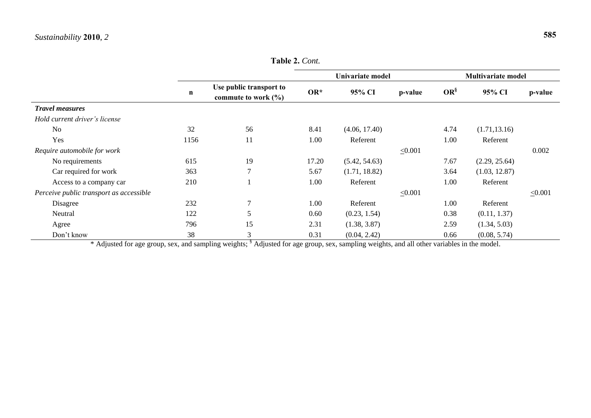$\overline{a}$ 

|                                         | $\mathbf n$ |                                                    | Univariate model |               |              | <b>Multivariate model</b> |               |              |
|-----------------------------------------|-------------|----------------------------------------------------|------------------|---------------|--------------|---------------------------|---------------|--------------|
|                                         |             | Use public transport to<br>commute to work $(\% )$ | $OR*$            | 95% CI        | p-value      | $OR^{\S}$                 | 95% CI        | p-value      |
| <b>Travel measures</b>                  |             |                                                    |                  |               |              |                           |               |              |
| Hold current driver's license           |             |                                                    |                  |               |              |                           |               |              |
| N <sub>o</sub>                          | 32          | 56                                                 | 8.41             | (4.06, 17.40) |              | 4.74                      | (1.71, 13.16) |              |
| Yes                                     | 1156        | 11                                                 | 1.00             | Referent      |              | 1.00                      | Referent      |              |
| Require automobile for work             |             |                                                    |                  |               | $\leq 0.001$ |                           |               | 0.002        |
| No requirements                         | 615         | 19                                                 | 17.20            | (5.42, 54.63) |              | 7.67                      | (2.29, 25.64) |              |
| Car required for work                   | 363         | $\tau$                                             | 5.67             | (1.71, 18.82) |              | 3.64                      | (1.03, 12.87) |              |
| Access to a company car                 | 210         |                                                    | 1.00             | Referent      |              | 1.00                      | Referent      |              |
| Perceive public transport as accessible |             |                                                    |                  |               | $\leq 0.001$ |                           |               | $\leq 0.001$ |
| Disagree                                | 232         | $\tau$                                             | 1.00             | Referent      |              | 1.00                      | Referent      |              |
| Neutral                                 | 122         | 5                                                  | 0.60             | (0.23, 1.54)  |              | 0.38                      | (0.11, 1.37)  |              |
| Agree                                   | 796         | 15                                                 | 2.31             | (1.38, 3.87)  |              | 2.59                      | (1.34, 5.03)  |              |
| Don't know                              | 38          | 3                                                  | 0.31             | (0.04, 2.42)  |              | 0.66                      | (0.08, 5.74)  |              |

**Table 2.** *Cont.*

\* Adjusted for age group, sex, and sampling weights; <sup>§</sup> Adjusted for age group, sex, sampling weights, and all other variables in the model.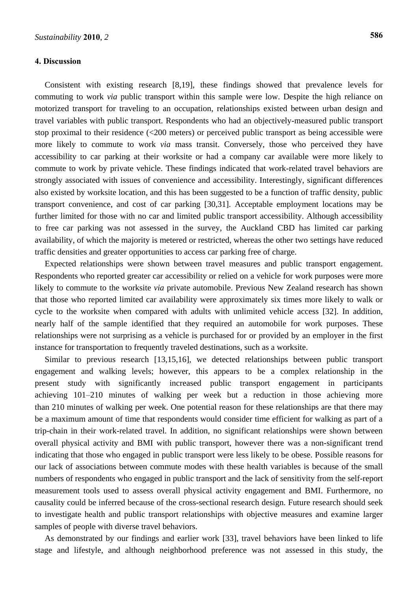# **4. Discussion**

Consistent with existing research [8,19], these findings showed that prevalence levels for commuting to work *via* public transport within this sample were low. Despite the high reliance on motorized transport for traveling to an occupation, relationships existed between urban design and travel variables with public transport. Respondents who had an objectively-measured public transport stop proximal to their residence (<200 meters) or perceived public transport as being accessible were more likely to commute to work *via* mass transit. Conversely, those who perceived they have accessibility to car parking at their worksite or had a company car available were more likely to commute to work by private vehicle. These findings indicated that work-related travel behaviors are strongly associated with issues of convenience and accessibility. Interestingly, significant differences also existed by worksite location, and this has been suggested to be a function of traffic density, public transport convenience, and cost of car parking [30,31]. Acceptable employment locations may be further limited for those with no car and limited public transport accessibility. Although accessibility to free car parking was not assessed in the survey, the Auckland CBD has limited car parking availability, of which the majority is metered or restricted, whereas the other two settings have reduced traffic densities and greater opportunities to access car parking free of charge.

Expected relationships were shown between travel measures and public transport engagement. Respondents who reported greater car accessibility or relied on a vehicle for work purposes were more likely to commute to the worksite *via* private automobile. Previous New Zealand research has shown that those who reported limited car availability were approximately six times more likely to walk or cycle to the worksite when compared with adults with unlimited vehicle access [32]. In addition, nearly half of the sample identified that they required an automobile for work purposes. These relationships were not surprising as a vehicle is purchased for or provided by an employer in the first instance for transportation to frequently traveled destinations, such as a worksite.

Similar to previous research [13,15,16], we detected relationships between public transport engagement and walking levels; however, this appears to be a complex relationship in the present study with significantly increased public transport engagement in participants achieving 101–210 minutes of walking per week but a reduction in those achieving more than 210 minutes of walking per week. One potential reason for these relationships are that there may be a maximum amount of time that respondents would consider time efficient for walking as part of a trip-chain in their work-related travel. In addition, no significant relationships were shown between overall physical activity and BMI with public transport, however there was a non-significant trend indicating that those who engaged in public transport were less likely to be obese. Possible reasons for our lack of associations between commute modes with these health variables is because of the small numbers of respondents who engaged in public transport and the lack of sensitivity from the self-report measurement tools used to assess overall physical activity engagement and BMI. Furthermore, no causality could be inferred because of the cross-sectional research design. Future research should seek to investigate health and public transport relationships with objective measures and examine larger samples of people with diverse travel behaviors.

As demonstrated by our findings and earlier work [33], travel behaviors have been linked to life stage and lifestyle, and although neighborhood preference was not assessed in this study, the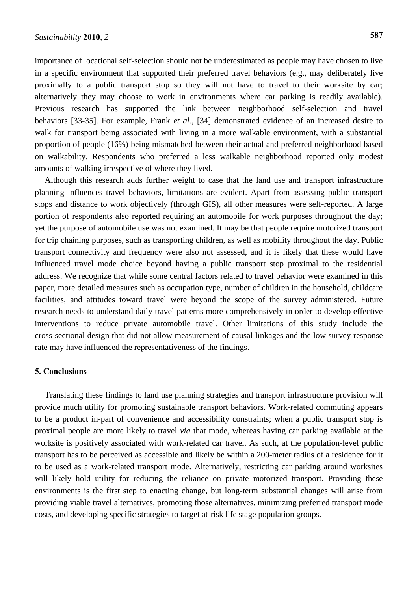importance of locational self-selection should not be underestimated as people may have chosen to live in a specific environment that supported their preferred travel behaviors (e.g., may deliberately live proximally to a public transport stop so they will not have to travel to their worksite by car; alternatively they may choose to work in environments where car parking is readily available). Previous research has supported the link between neighborhood self-selection and travel behaviors [33-35]. For example, Frank *et al.*, [34] demonstrated evidence of an increased desire to walk for transport being associated with living in a more walkable environment, with a substantial proportion of people (16%) being mismatched between their actual and preferred neighborhood based on walkability. Respondents who preferred a less walkable neighborhood reported only modest amounts of walking irrespective of where they lived.

Although this research adds further weight to case that the land use and transport infrastructure planning influences travel behaviors, limitations are evident. Apart from assessing public transport stops and distance to work objectively (through GIS), all other measures were self-reported. A large portion of respondents also reported requiring an automobile for work purposes throughout the day; yet the purpose of automobile use was not examined. It may be that people require motorized transport for trip chaining purposes, such as transporting children, as well as mobility throughout the day. Public transport connectivity and frequency were also not assessed, and it is likely that these would have influenced travel mode choice beyond having a public transport stop proximal to the residential address. We recognize that while some central factors related to travel behavior were examined in this paper, more detailed measures such as occupation type, number of children in the household, childcare facilities, and attitudes toward travel were beyond the scope of the survey administered. Future research needs to understand daily travel patterns more comprehensively in order to develop effective interventions to reduce private automobile travel. Other limitations of this study include the cross-sectional design that did not allow measurement of causal linkages and the low survey response rate may have influenced the representativeness of the findings.

# **5. Conclusions**

Translating these findings to land use planning strategies and transport infrastructure provision will provide much utility for promoting sustainable transport behaviors. Work-related commuting appears to be a product in-part of convenience and accessibility constraints; when a public transport stop is proximal people are more likely to travel *via* that mode, whereas having car parking available at the worksite is positively associated with work-related car travel. As such, at the population-level public transport has to be perceived as accessible and likely be within a 200-meter radius of a residence for it to be used as a work-related transport mode. Alternatively, restricting car parking around worksites will likely hold utility for reducing the reliance on private motorized transport. Providing these environments is the first step to enacting change, but long-term substantial changes will arise from providing viable travel alternatives, promoting those alternatives, minimizing preferred transport mode costs, and developing specific strategies to target at-risk life stage population groups.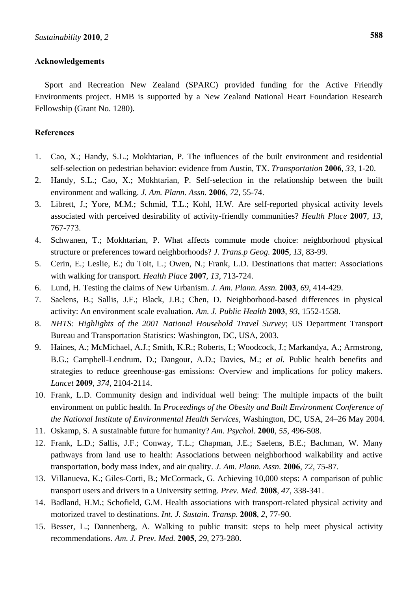# **Acknowledgements**

Sport and Recreation New Zealand (SPARC) provided funding for the Active Friendly Environments project. HMB is supported by a New Zealand National Heart Foundation Research Fellowship (Grant No. 1280).

# **References**

- 1. Cao, X.; Handy, S.L.; Mokhtarian, P. The influences of the built environment and residential self-selection on pedestrian behavior: evidence from Austin, TX. *Transportation* **2006**, *33*, 1-20.
- 2. Handy, S.L.; Cao, X.; Mokhtarian, P. Self-selection in the relationship between the built environment and walking. *J. Am. Plann. Assn.* **2006**, *72*, 55-74.
- 3. Librett, J.; Yore, M.M.; Schmid, T.L.; Kohl, H.W. Are self-reported physical activity levels associated with perceived desirability of activity-friendly communities? *Health Place* **2007**, *13,*  767-773.
- 4. Schwanen, T.; Mokhtarian, P. What affects commute mode choice: neighborhood physical structure or preferences toward neighborhoods? *J. Trans.p Geog.* **2005**, *13*, 83-99.
- 5. Cerin, E.; Leslie, E.; du Toit, L.; Owen, N.; Frank, L.D. Destinations that matter: Associations with walking for transport. *Health Place* **2007**, *13*, 713-724.
- 6. Lund, H. Testing the claims of New Urbanism. *J. Am. Plann. Assn.* **2003**, *69*, 414-429.
- 7. Saelens, B.; Sallis, J.F.; Black, J.B.; Chen, D. Neighborhood-based differences in physical activity: An environment scale evaluation. *Am. J. Public Health* **2003**, *93*, 1552-1558.
- 8. *NHTS: Highlights of the 2001 National Household Travel Survey*; US Department Transport Bureau and Transportation Statistics: Washington, DC, USA, 2003.
- 9. Haines, A.; McMichael, A.J.; Smith, K.R.; Roberts, I.; Woodcock, J.; Markandya, A.; Armstrong, B.G.; Campbell-Lendrum, D.; Dangour, A.D.; Davies, M.; *et al.* Public health benefits and strategies to reduce greenhouse-gas emissions: Overview and implications for policy makers. *Lancet* **2009**, *374*, 2104-2114.
- 10. Frank, L.D. Community design and individual well being: The multiple impacts of the built environment on public health. In *Proceedings of the Obesity and Built Environment Conference of the National Institute of Environmental Health Services*, Washington, DC, USA, 24–26 May 2004.
- 11. Oskamp, S. A sustainable future for humanity? *Am. Psychol.* **2000**, *55*, 496-508.
- 12. Frank, L.D.; Sallis, J.F.; Conway, T.L.; Chapman, J.E.; Saelens, B.E.; Bachman, W. Many pathways from land use to health: Associations between neighborhood walkability and active transportation, body mass index, and air quality. *J. Am. Plann. Assn.* **2006**, *72*, 75-87.
- 13. Villanueva, K.; Giles-Corti, B.; McCormack, G. Achieving 10,000 steps: A comparison of public transport users and drivers in a University setting. *Prev. Med.* **2008**, *47*, 338-341.
- 14. Badland, H.M.; Schofield, G.M. Health associations with transport-related physical activity and motorized travel to destinations. *Int. J. Sustain. Transp.* **2008**, *2*, 77-90.
- 15. Besser, L.; Dannenberg, A. Walking to public transit: steps to help meet physical activity recommendations. *Am. J. Prev. Med.* **2005**, *29*, 273-280.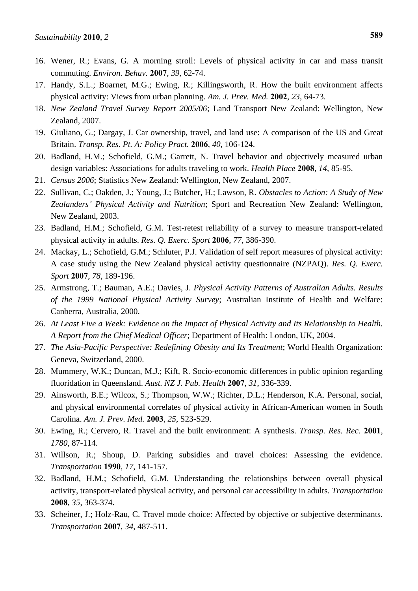- 16. Wener, R.; Evans, G. A morning stroll: Levels of physical activity in car and mass transit commuting. *Environ. Behav.* **2007**, *39*, 62-74.
- 17. Handy, S.L.; Boarnet, M.G.; Ewing, R.; Killingsworth, R. How the built environment affects physical activity: Views from urban planning. *Am. J. Prev. Med.* **2002**, *23*, 64-73.
- 18. *New Zealand Travel Survey Report 2005/06*; Land Transport New Zealand: Wellington, New Zealand, 2007.
- 19. Giuliano, G.; Dargay, J. Car ownership, travel, and land use: A comparison of the US and Great Britain. *Transp. Res. Pt. A: Policy Pract.* **2006**, *40*, 106-124.
- 20. Badland, H.M.; Schofield, G.M.; Garrett, N. Travel behavior and objectively measured urban design variables: Associations for adults traveling to work. *Health Place* **2008**, *14*, 85-95.
- 21. *Census 2006*; Statistics New Zealand: Wellington, New Zealand, 2007.
- 22. Sullivan, C.; Oakden, J.; Young, J.; Butcher, H.; Lawson, R. *Obstacles to Action: A Study of New Zealanders' Physical Activity and Nutrition*; Sport and Recreation New Zealand: Wellington, New Zealand, 2003.
- 23. Badland, H.M.; Schofield, G.M. Test-retest reliability of a survey to measure transport-related physical activity in adults. *Res. Q. Exerc. Sport* **2006**, *77*, 386-390.
- 24. Mackay, L.; Schofield, G.M.; Schluter, P.J. Validation of self report measures of physical activity: A case study using the New Zealand physical activity questionnaire (NZPAQ). *Res. Q. Exerc. Sport* **2007**, *78*, 189-196.
- 25. Armstrong, T.; Bauman, A.E.; Davies, J. *Physical Activity Patterns of Australian Adults. Results of the 1999 National Physical Activity Survey*; Australian Institute of Health and Welfare: Canberra, Australia, 2000.
- 26. *At Least Five a Week: Evidence on the Impact of Physical Activity and Its Relationship to Health. A Report from the Chief Medical Officer*; Department of Health: London, UK, 2004.
- 27. *The Asia-Pacific Perspective: Redefining Obesity and Its Treatment*; World Health Organization: Geneva, Switzerland, 2000.
- 28. Mummery, W.K.; Duncan, M.J.; Kift, R. Socio-economic differences in public opinion regarding fluoridation in Queensland. *Aust. NZ J. Pub. Health* **2007**, *31*, 336-339.
- 29. Ainsworth, B.E.; Wilcox, S.; Thompson, W.W.; Richter, D.L.; Henderson, K.A. Personal, social, and physical environmental correlates of physical activity in African-American women in South Carolina. *Am. J. Prev. Med.* **2003**, *25*, S23-S29.
- 30. Ewing, R.; Cervero, R. Travel and the built environment: A synthesis. *Transp. Res. Rec.* **2001**, *1780*, 87-114.
- 31. Willson, R.; Shoup, D. Parking subsidies and travel choices: Assessing the evidence*. Transportation* **1990**, *17*, 141-157.
- 32. Badland, H.M.; Schofield, G.M. Understanding the relationships between overall physical activity, transport-related physical activity, and personal car accessibility in adults. *Transportation* **2008**, *35*, 363-374.
- 33. Scheiner, J.; Holz-Rau, C. Travel mode choice: Affected by objective or subjective determinants. *Transportation* **2007**, *34*, 487-511.